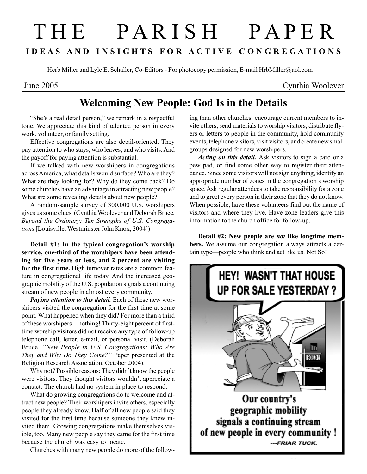## T H E P A R I S H P A P E R I D E A S A N D I N S I G H T S F O R A C T I V E C O N G R E G A T I O N S

Herb Miller and Lyle E. Schaller, Co-Editors - For photocopy permission, E-mail HrbMiller@aol.com

June 2005 Cynthia Woolever

## Welcoming New People: God Is in the Details

"She's a real detail person," we remark in a respectful tone. We appreciate this kind of talented person in every work, volunteer, or family setting.

Effective congregations are also detail-oriented. They pay attention to who stays, who leaves, and who visits. And the payoff for paying attention is substantial.

If we talked with new worshipers in congregations across America, what details would surface? Who are they? What are they looking for? Why do they come back? Do some churches have an advantage in attracting new people? What are some revealing details about new people?

A random-sample survey of 300,000 U.S. worshipers gives us some clues. (Cynthia Woolever and Deborah Bruce, Beyond the Ordinary: Ten Strengths of U.S. Congregations [Louisville: Westminster John Knox, 2004])

Detail #1: In the typical congregation's worship service, one-third of the worshipers have been attending for five years or less, and 2 percent are visiting for the first time. High turnover rates are a common feature in congregational life today. And the increased geographic mobility of the U.S. population signals a continuing stream of new people in almost every community.

Paying attention to this detail. Each of these new worshipers visited the congregation for the first time at some point. What happened when they did? For more than a third of these worshipers—nothing! Thirty-eight percent of firsttime worship visitors did not receive any type of follow-up telephone call, letter, e-mail, or personal visit. (Deborah Bruce, "New People in U.S. Congregations: Who Are They and Why Do They Come?" Paper presented at the Religion Research Association, October 2004).

Why not? Possible reasons: They didn't know the people were visitors. They thought visitors wouldn't appreciate a contact. The church had no system in place to respond.

What do growing congregations do to welcome and attract new people? Their worshipers invite others, especially people they already know. Half of all new people said they visited for the first time because someone they knew invited them. Growing congregations make themselves visible, too. Many new people say they came for the first time because the church was easy to locate.

Churches with many new people do more of the follow-

ing than other churches: encourage current members to invite others, send materials to worship visitors, distribute flyers or letters to people in the community, hold community events, telephone visitors, visit visitors, and create new small groups designed for new worshipers.

Acting on this detail. Ask visitors to sign a card or a pew pad, or find some other way to register their attendance. Since some visitors will not sign anything, identify an appropriate number of zones in the congregation's worship space. Ask regular attendees to take responsibility for a zone and to greet every person in their zone that they do not know. When possible, have these volunteers find out the name of visitors and where they live. Have zone leaders give this information to the church office for follow-up.

Detail #2: New people are *not* like longtime members. We assume our congregation always attracts a certain type—people who think and act like us. Not So!